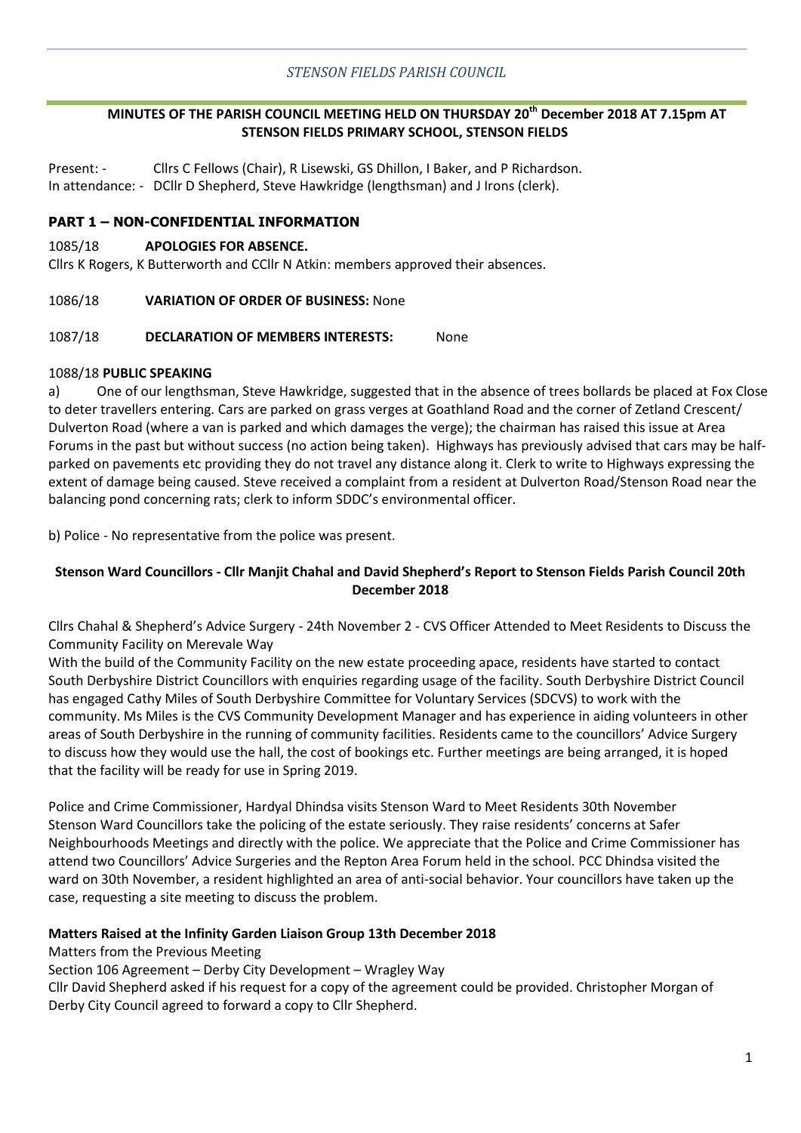# **MINUTES OF THE PARISH COUNCIL MEETING HELD ON THURSDAY 20th December 2018 AT 7.15pm AT STENSON FIELDS PRIMARY SCHOOL, STENSON FIELDS**

Present: - Cllrs C Fellows (Chair), R Lisewski, GS Dhillon, I Baker, and P Richardson. In attendance: - DCllr D Shepherd, Steve Hawkridge (lengthsman) and J Irons (clerk).

### **PART 1 – NON-CONFIDENTIAL INFORMATION**

#### 1085/18 **APOLOGIES FOR ABSENCE.**

Cllrs K Rogers, K Butterworth and CCllr N Atkin: members approved their absences.

#### 1086/18 **VARIATION OF ORDER OF BUSINESS:** None

#### 1087/18 **DECLARATION OF MEMBERS INTERESTS:** None

#### 1088/18 **PUBLIC SPEAKING**

a) One of our lengthsman, Steve Hawkridge, suggested that in the absence of trees bollards be placed at Fox Close to deter travellers entering. Cars are parked on grass verges at Goathland Road and the corner of Zetland Crescent/ Dulverton Road (where a van is parked and which damages the verge); the chairman has raised this issue at Area Forums in the past but without success (no action being taken). Highways has previously advised that cars may be halfparked on pavements etc providing they do not travel any distance along it. Clerk to write to Highways expressing the extent of damage being caused. Steve received a complaint from a resident at Dulverton Road/Stenson Road near the balancing pond concerning rats; clerk to inform SDDC's environmental officer.

b) Police - No representative from the police was present.

### **Stenson Ward Councillors - Cllr Manjit Chahal and David Shepherd's Report to Stenson Fields Parish Council 20th December 2018**

Cllrs Chahal & Shepherd's Advice Surgery - 24th November 2 - CVS Officer Attended to Meet Residents to Discuss the Community Facility on Merevale Way

With the build of the Community Facility on the new estate proceeding apace, residents have started to contact South Derbyshire District Councillors with enquiries regarding usage of the facility. South Derbyshire District Council has engaged Cathy Miles of South Derbyshire Committee for Voluntary Services (SDCVS) to work with the community. Ms Miles is the CVS Community Development Manager and has experience in aiding volunteers in other areas of South Derbyshire in the running of community facilities. Residents came to the councillors' Advice Surgery to discuss how they would use the hall, the cost of bookings etc. Further meetings are being arranged, it is hoped that the facility will be ready for use in Spring 2019.

Police and Crime Commissioner, Hardyal Dhindsa visits Stenson Ward to Meet Residents 30th November Stenson Ward Councillors take the policing of the estate seriously. They raise residents' concerns at Safer Neighbourhoods Meetings and directly with the police. We appreciate that the Police and Crime Commissioner has attend two Councillors' Advice Surgeries and the Repton Area Forum held in the school. PCC Dhindsa visited the ward on 30th November, a resident highlighted an area of anti-social behavior. Your councillors have taken up the case, requesting a site meeting to discuss the problem.

#### **Matters Raised at the Infinity Garden Liaison Group 13th December 2018**

Matters from the Previous Meeting

Section 106 Agreement – Derby City Development – Wragley Way

Cllr David Shepherd asked if his request for a copy of the agreement could be provided. Christopher Morgan of Derby City Council agreed to forward a copy to Cllr Shepherd.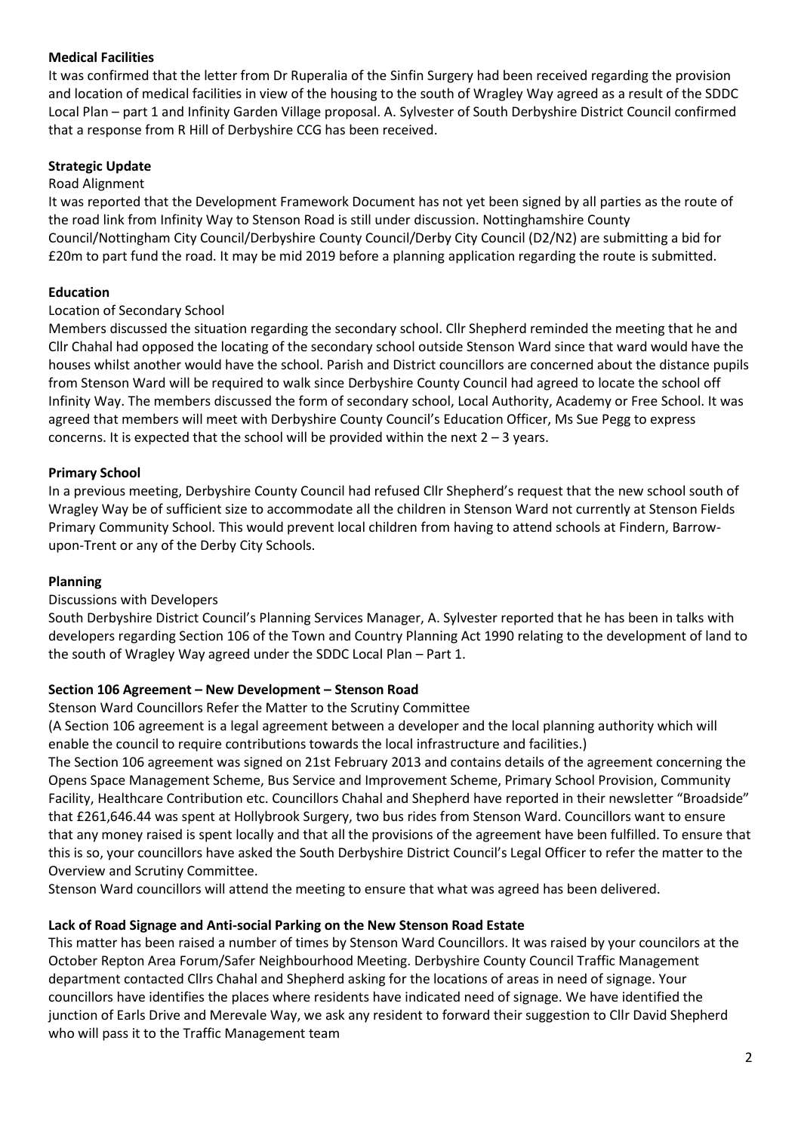# **Medical Facilities**

It was confirmed that the letter from Dr Ruperalia of the Sinfin Surgery had been received regarding the provision and location of medical facilities in view of the housing to the south of Wragley Way agreed as a result of the SDDC Local Plan – part 1 and Infinity Garden Village proposal. A. Sylvester of South Derbyshire District Council confirmed that a response from R Hill of Derbyshire CCG has been received.

# **Strategic Update**

### Road Alignment

It was reported that the Development Framework Document has not yet been signed by all parties as the route of the road link from Infinity Way to Stenson Road is still under discussion. Nottinghamshire County Council/Nottingham City Council/Derbyshire County Council/Derby City Council (D2/N2) are submitting a bid for £20m to part fund the road. It may be mid 2019 before a planning application regarding the route is submitted.

## **Education**

### Location of Secondary School

Members discussed the situation regarding the secondary school. Cllr Shepherd reminded the meeting that he and Cllr Chahal had opposed the locating of the secondary school outside Stenson Ward since that ward would have the houses whilst another would have the school. Parish and District councillors are concerned about the distance pupils from Stenson Ward will be required to walk since Derbyshire County Council had agreed to locate the school off Infinity Way. The members discussed the form of secondary school, Local Authority, Academy or Free School. It was agreed that members will meet with Derbyshire County Council's Education Officer, Ms Sue Pegg to express concerns. It is expected that the school will be provided within the next  $2 - 3$  years.

### **Primary School**

In a previous meeting, Derbyshire County Council had refused Cllr Shepherd's request that the new school south of Wragley Way be of sufficient size to accommodate all the children in Stenson Ward not currently at Stenson Fields Primary Community School. This would prevent local children from having to attend schools at Findern, Barrowupon-Trent or any of the Derby City Schools.

#### **Planning**

## Discussions with Developers

South Derbyshire District Council's Planning Services Manager, A. Sylvester reported that he has been in talks with developers regarding Section 106 of the Town and Country Planning Act 1990 relating to the development of land to the south of Wragley Way agreed under the SDDC Local Plan – Part 1.

## **Section 106 Agreement – New Development – Stenson Road**

Stenson Ward Councillors Refer the Matter to the Scrutiny Committee

(A Section 106 agreement is a legal agreement between a developer and the local planning authority which will enable the council to require contributions towards the local infrastructure and facilities.)

The Section 106 agreement was signed on 21st February 2013 and contains details of the agreement concerning the Opens Space Management Scheme, Bus Service and Improvement Scheme, Primary School Provision, Community Facility, Healthcare Contribution etc. Councillors Chahal and Shepherd have reported in their newsletter "Broadside" that £261,646.44 was spent at Hollybrook Surgery, two bus rides from Stenson Ward. Councillors want to ensure that any money raised is spent locally and that all the provisions of the agreement have been fulfilled. To ensure that this is so, your councillors have asked the South Derbyshire District Council's Legal Officer to refer the matter to the Overview and Scrutiny Committee.

Stenson Ward councillors will attend the meeting to ensure that what was agreed has been delivered.

## **Lack of Road Signage and Anti-social Parking on the New Stenson Road Estate**

This matter has been raised a number of times by Stenson Ward Councillors. It was raised by your councilors at the October Repton Area Forum/Safer Neighbourhood Meeting. Derbyshire County Council Traffic Management department contacted Cllrs Chahal and Shepherd asking for the locations of areas in need of signage. Your councillors have identifies the places where residents have indicated need of signage. We have identified the junction of Earls Drive and Merevale Way, we ask any resident to forward their suggestion to Cllr David Shepherd who will pass it to the Traffic Management team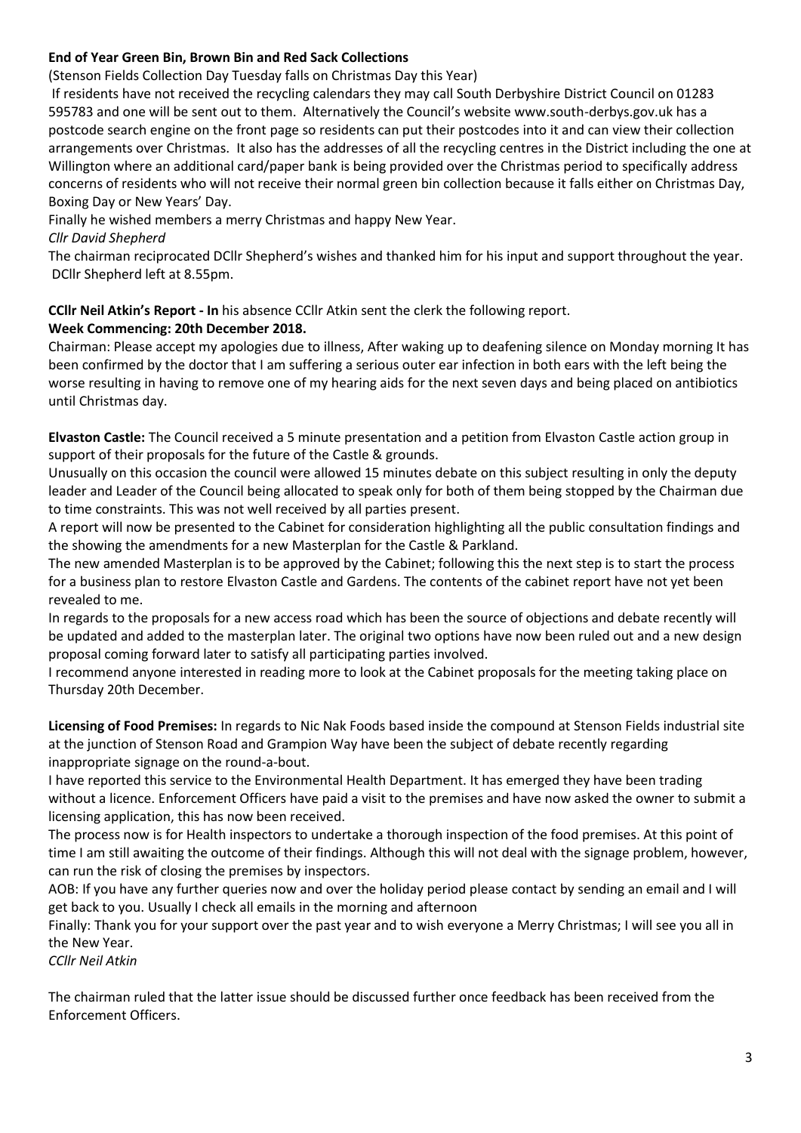# **End of Year Green Bin, Brown Bin and Red Sack Collections**

(Stenson Fields Collection Day Tuesday falls on Christmas Day this Year)

If residents have not received the recycling calendars they may call South Derbyshire District Council on 01283 595783 and one will be sent out to them. Alternatively the Council's website www.south-derbys.gov.uk has a postcode search engine on the front page so residents can put their postcodes into it and can view their collection arrangements over Christmas. It also has the addresses of all the recycling centres in the District including the one at Willington where an additional card/paper bank is being provided over the Christmas period to specifically address concerns of residents who will not receive their normal green bin collection because it falls either on Christmas Day, Boxing Day or New Years' Day.

Finally he wished members a merry Christmas and happy New Year.

*Cllr David Shepherd*

The chairman reciprocated DCllr Shepherd's wishes and thanked him for his input and support throughout the year. DCllr Shepherd left at 8.55pm.

**CCllr Neil Atkin's Report - In** his absence CCllr Atkin sent the clerk the following report.

# **Week Commencing: 20th December 2018.**

Chairman: Please accept my apologies due to illness, After waking up to deafening silence on Monday morning It has been confirmed by the doctor that I am suffering a serious outer ear infection in both ears with the left being the worse resulting in having to remove one of my hearing aids for the next seven days and being placed on antibiotics until Christmas day.

**Elvaston Castle:** The Council received a 5 minute presentation and a petition from Elvaston Castle action group in support of their proposals for the future of the Castle & grounds.

Unusually on this occasion the council were allowed 15 minutes debate on this subject resulting in only the deputy leader and Leader of the Council being allocated to speak only for both of them being stopped by the Chairman due to time constraints. This was not well received by all parties present.

A report will now be presented to the Cabinet for consideration highlighting all the public consultation findings and the showing the amendments for a new Masterplan for the Castle & Parkland.

The new amended Masterplan is to be approved by the Cabinet; following this the next step is to start the process for a business plan to restore Elvaston Castle and Gardens. The contents of the cabinet report have not yet been revealed to me.

In regards to the proposals for a new access road which has been the source of objections and debate recently will be updated and added to the masterplan later. The original two options have now been ruled out and a new design proposal coming forward later to satisfy all participating parties involved.

I recommend anyone interested in reading more to look at the Cabinet proposals for the meeting taking place on Thursday 20th December.

**Licensing of Food Premises:** In regards to Nic Nak Foods based inside the compound at Stenson Fields industrial site at the junction of Stenson Road and Grampion Way have been the subject of debate recently regarding inappropriate signage on the round-a-bout.

I have reported this service to the Environmental Health Department. It has emerged they have been trading without a licence. Enforcement Officers have paid a visit to the premises and have now asked the owner to submit a licensing application, this has now been received.

The process now is for Health inspectors to undertake a thorough inspection of the food premises. At this point of time I am still awaiting the outcome of their findings. Although this will not deal with the signage problem, however, can run the risk of closing the premises by inspectors.

AOB: If you have any further queries now and over the holiday period please contact by sending an email and I will get back to you. Usually I check all emails in the morning and afternoon

Finally: Thank you for your support over the past year and to wish everyone a Merry Christmas; I will see you all in the New Year.

*CCllr Neil Atkin*

The chairman ruled that the latter issue should be discussed further once feedback has been received from the Enforcement Officers.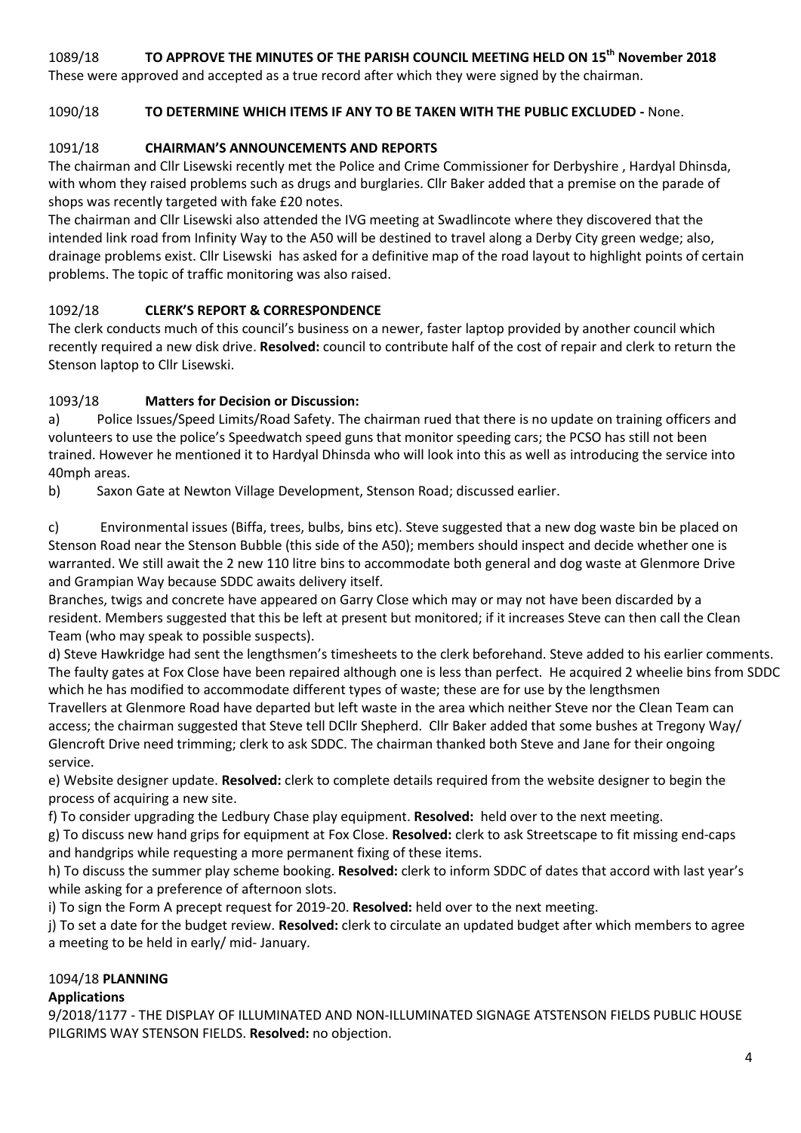# 1089/18 **TO APPROVE THE MINUTES OF THE PARISH COUNCIL MEETING HELD ON 15th November 2018**

These were approved and accepted as a true record after which they were signed by the chairman.

# 1090/18 **TO DETERMINE WHICH ITEMS IF ANY TO BE TAKEN WITH THE PUBLIC EXCLUDED -** None.

# 1091/18 **CHAIRMAN'S ANNOUNCEMENTS AND REPORTS**

The chairman and Cllr Lisewski recently met the Police and Crime Commissioner for Derbyshire , Hardyal Dhinsda, with whom they raised problems such as drugs and burglaries. Cllr Baker added that a premise on the parade of shops was recently targeted with fake £20 notes.

The chairman and Cllr Lisewski also attended the IVG meeting at Swadlincote where they discovered that the intended link road from Infinity Way to the A50 will be destined to travel along a Derby City green wedge; also, drainage problems exist. Cllr Lisewski has asked for a definitive map of the road layout to highlight points of certain problems. The topic of traffic monitoring was also raised.

# 1092/18 **CLERK'S REPORT & CORRESPONDENCE**

The clerk conducts much of this council's business on a newer, faster laptop provided by another council which recently required a new disk drive. **Resolved:** council to contribute half of the cost of repair and clerk to return the Stenson laptop to Cllr Lisewski.

# 1093/18 **Matters for Decision or Discussion:**

a) Police Issues/Speed Limits/Road Safety. The chairman rued that there is no update on training officers and volunteers to use the police's Speedwatch speed guns that monitor speeding cars; the PCSO has still not been trained. However he mentioned it to Hardyal Dhinsda who will look into this as well as introducing the service into 40mph areas.

b) Saxon Gate at Newton Village Development, Stenson Road; discussed earlier.

c) Environmental issues (Biffa, trees, bulbs, bins etc). Steve suggested that a new dog waste bin be placed on Stenson Road near the Stenson Bubble (this side of the A50); members should inspect and decide whether one is warranted. We still await the 2 new 110 litre bins to accommodate both general and dog waste at Glenmore Drive and Grampian Way because SDDC awaits delivery itself.

Branches, twigs and concrete have appeared on Garry Close which may or may not have been discarded by a resident. Members suggested that this be left at present but monitored; if it increases Steve can then call the Clean Team (who may speak to possible suspects).

d) Steve Hawkridge had sent the lengthsmen's timesheets to the clerk beforehand. Steve added to his earlier comments. The faulty gates at Fox Close have been repaired although one is less than perfect. He acquired 2 wheelie bins from SDDC which he has modified to accommodate different types of waste; these are for use by the lengthsmen Travellers at Glenmore Road have departed but left waste in the area which neither Steve nor the Clean Team can access; the chairman suggested that Steve tell DCllr Shepherd. Cllr Baker added that some bushes at Tregony Way/ Glencroft Drive need trimming; clerk to ask SDDC. The chairman thanked both Steve and Jane for their ongoing service.

e) Website designer update. **Resolved:** clerk to complete details required from the website designer to begin the process of acquiring a new site.

f) To consider upgrading the Ledbury Chase play equipment. **Resolved:** held over to the next meeting.

g) To discuss new hand grips for equipment at Fox Close. **Resolved:** clerk to ask Streetscape to fit missing end-caps and handgrips while requesting a more permanent fixing of these items.

h) To discuss the summer play scheme booking. **Resolved:** clerk to inform SDDC of dates that accord with last year's while asking for a preference of afternoon slots.

i) To sign the Form A precept request for 2019-20. **Resolved:** held over to the next meeting.

j) To set a date for the budget review. **Resolved:** clerk to circulate an updated budget after which members to agree a meeting to be held in early/ mid- January.

## 1094/18 **PLANNING**

## **Applications**

9/2018/1177 - THE DISPLAY OF ILLUMINATED AND NON-ILLUMINATED SIGNAGE ATSTENSON FIELDS PUBLIC HOUSE PILGRIMS WAY STENSON FIELDS. **Resolved:** no objection.